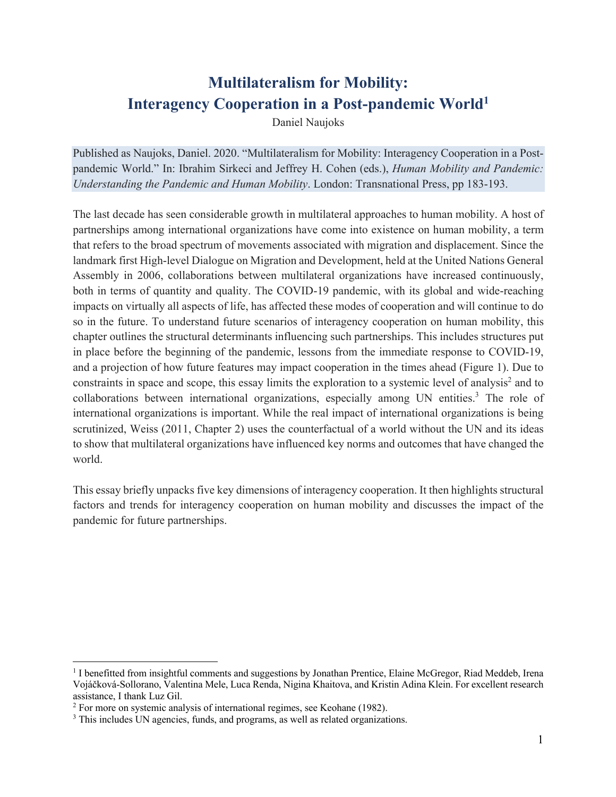# **Multilateralism for Mobility: Interagency Cooperation in a Post-pandemic World**<sup>1</sup>

Daniel Naujoks

Published as Naujoks, Daniel. 2020. "Multilateralism for Mobility: Interagency Cooperation in a Postpandemic World." In: Ibrahim Sirkeci and Jeffrey H. Cohen (eds.), *Human Mobility and Pandemic: Understanding the Pandemic and Human Mobility*. London: Transnational Press, pp 183-193.

The last decade has seen considerable growth in multilateral approaches to human mobility. A host of partnerships among international organizations have come into existence on human mobility, a term that refers to the broad spectrum of movements associated with migration and displacement. Since the landmark first High-level Dialogue on Migration and Development, held at the United Nations General Assembly in 2006, collaborations between multilateral organizations have increased continuously, both in terms of quantity and quality. The COVID-19 pandemic, with its global and wide-reaching impacts on virtually all aspects of life, has affected these modes of cooperation and will continue to do so in the future. To understand future scenarios of interagency cooperation on human mobility, this chapter outlines the structural determinants influencing such partnerships. This includes structures put in place before the beginning of the pandemic, lessons from the immediate response to COVID-19, and a projection of how future features may impact cooperation in the times ahead (Figure 1). Due to constraints in space and scope, this essay limits the exploration to a systemic level of analysis<sup>2</sup> and to collaborations between international organizations, especially among UN entities. <sup>3</sup> The role of international organizations is important. While the real impact of international organizations is being scrutinized, Weiss (2011, Chapter 2) uses the counterfactual of a world without the UN and its ideas to show that multilateral organizations have influenced key norms and outcomes that have changed the world.

This essay briefly unpacks five key dimensions of interagency cooperation. It then highlights structural factors and trends for interagency cooperation on human mobility and discusses the impact of the pandemic for future partnerships.

<sup>&</sup>lt;sup>1</sup> I benefitted from insightful comments and suggestions by Jonathan Prentice, Elaine McGregor, Riad Meddeb, Irena Vojáčková-Sollorano, Valentina Mele, Luca Renda, Nigina Khaitova, and Kristin Adina Klein. For excellent research assistance, I thank Luz Gil.

<sup>&</sup>lt;sup>2</sup> For more on systemic analysis of international regimes, see Keohane (1982).

<sup>&</sup>lt;sup>3</sup> This includes UN agencies, funds, and programs, as well as related organizations.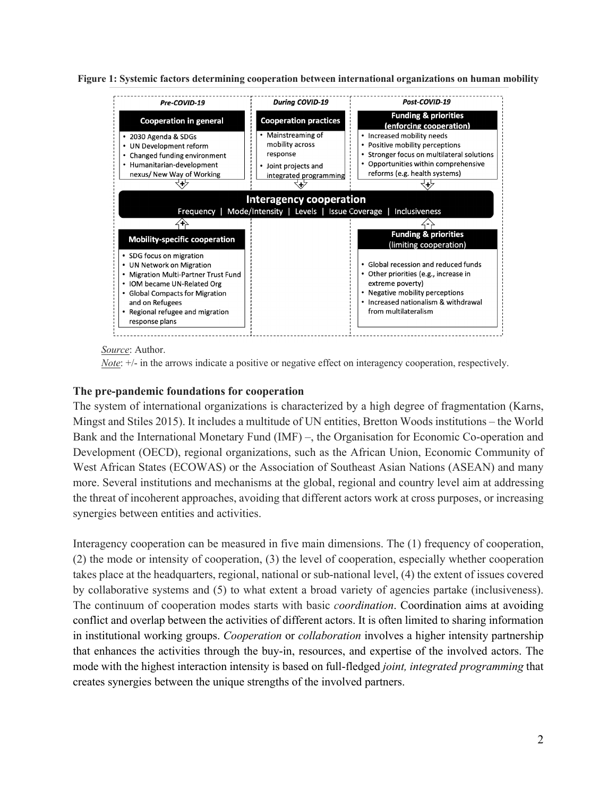**Figure 1: Systemic factors determining cooperation between international organizations on human mobility**



#### *Source*: Author.

*Note*:  $+/-$  in the arrows indicate a positive or negative effect on interagency cooperation, respectively.

### **The pre-pandemic foundations for cooperation**

The system of international organizations is characterized by a high degree of fragmentation (Karns, Mingst and Stiles 2015). It includes a multitude of UN entities, Bretton Woods institutions – the World Bank and the International Monetary Fund (IMF) –, the Organisation for Economic Co-operation and Development (OECD), regional organizations, such as the African Union, Economic Community of West African States (ECOWAS) or the Association of Southeast Asian Nations (ASEAN) and many more. Several institutions and mechanisms at the global, regional and country level aim at addressing the threat of incoherent approaches, avoiding that different actors work at cross purposes, or increasing synergies between entities and activities.

Interagency cooperation can be measured in five main dimensions. The (1) frequency of cooperation, (2) the mode or intensity of cooperation, (3) the level of cooperation, especially whether cooperation takes place at the headquarters, regional, national or sub-national level, (4) the extent of issues covered by collaborative systems and (5) to what extent a broad variety of agencies partake (inclusiveness). The continuum of cooperation modes starts with basic *coordination*. Coordination aims at avoiding conflict and overlap between the activities of different actors. It is often limited to sharing information in institutional working groups. *Cooperation* or *collaboration* involves a higher intensity partnership that enhances the activities through the buy-in, resources, and expertise of the involved actors. The mode with the highest interaction intensity is based on full-fledged *joint, integrated programming* that creates synergies between the unique strengths of the involved partners.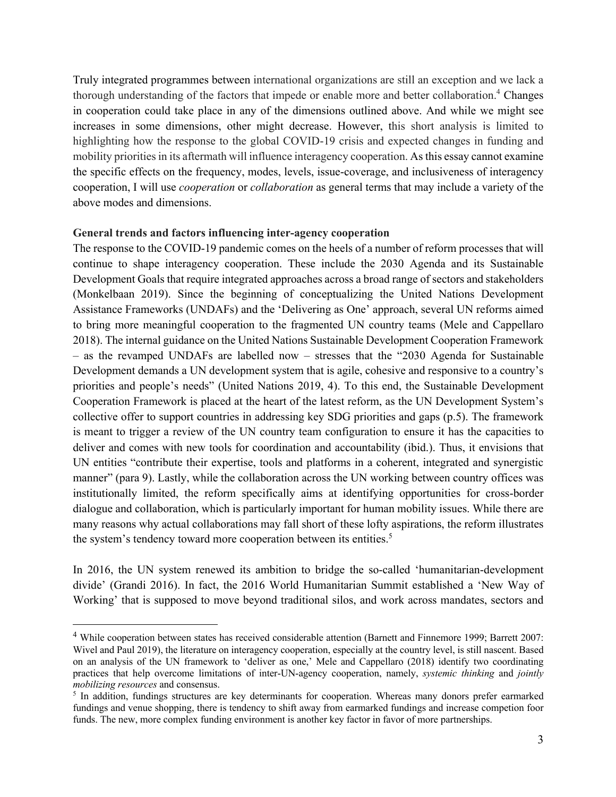Truly integrated programmes between international organizations are still an exception and we lack a thorough understanding of the factors that impede or enable more and better collaboration.<sup>4</sup> Changes in cooperation could take place in any of the dimensions outlined above. And while we might see increases in some dimensions, other might decrease. However, this short analysis is limited to highlighting how the response to the global COVID-19 crisis and expected changes in funding and mobility priorities in its aftermath will influence interagency cooperation. As this essay cannot examine the specific effects on the frequency, modes, levels, issue-coverage, and inclusiveness of interagency cooperation, I will use *cooperation* or *collaboration* as general terms that may include a variety of the above modes and dimensions.

### **General trends and factors influencing inter-agency cooperation**

The response to the COVID-19 pandemic comes on the heels of a number of reform processes that will continue to shape interagency cooperation. These include the 2030 Agenda and its Sustainable Development Goals that require integrated approaches across a broad range of sectors and stakeholders (Monkelbaan 2019). Since the beginning of conceptualizing the United Nations Development Assistance Frameworks (UNDAFs) and the 'Delivering as One' approach, several UN reforms aimed to bring more meaningful cooperation to the fragmented UN country teams (Mele and Cappellaro 2018). The internal guidance on the United Nations Sustainable Development Cooperation Framework – as the revamped UNDAFs are labelled now – stresses that the "2030 Agenda for Sustainable Development demands a UN development system that is agile, cohesive and responsive to a country's priorities and people's needs" (United Nations 2019, 4). To this end, the Sustainable Development Cooperation Framework is placed at the heart of the latest reform, as the UN Development System's collective offer to support countries in addressing key SDG priorities and gaps (p.5). The framework is meant to trigger a review of the UN country team configuration to ensure it has the capacities to deliver and comes with new tools for coordination and accountability (ibid.). Thus, it envisions that UN entities "contribute their expertise, tools and platforms in a coherent, integrated and synergistic manner" (para 9). Lastly, while the collaboration across the UN working between country offices was institutionally limited, the reform specifically aims at identifying opportunities for cross-border dialogue and collaboration, which is particularly important for human mobility issues. While there are many reasons why actual collaborations may fall short of these lofty aspirations, the reform illustrates the system's tendency toward more cooperation between its entities.<sup>5</sup>

In 2016, the UN system renewed its ambition to bridge the so-called 'humanitarian-development divide' (Grandi 2016). In fact, the 2016 World Humanitarian Summit established a 'New Way of Working' that is supposed to move beyond traditional silos, and work across mandates, sectors and

<sup>&</sup>lt;sup>4</sup> While cooperation between states has received considerable attention (Barnett and Finnemore 1999; Barrett 2007: Wivel and Paul 2019), the literature on interagency cooperation, especially at the country level, is still nascent. Based on an analysis of the UN framework to 'deliver as one,' Mele and Cappellaro (2018) identify two coordinating practices that help overcome limitations of inter-UN-agency cooperation, namely, *systemic thinking* and *jointly mobilizing resources* and consensus.

<sup>&</sup>lt;sup>5</sup> In addition, fundings structures are key determinants for cooperation. Whereas many donors prefer earmarked fundings and venue shopping, there is tendency to shift away from earmarked fundings and increase competion foor funds. The new, more complex funding environment is another key factor in favor of more partnerships.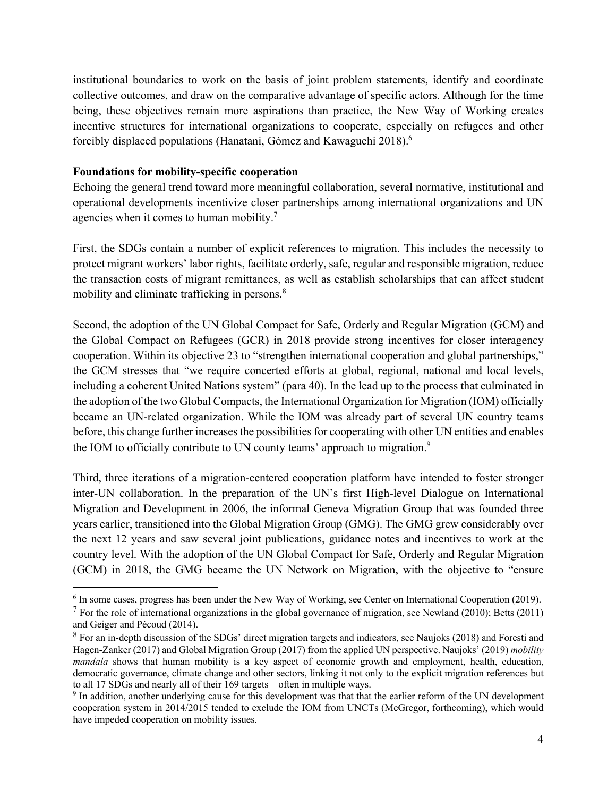institutional boundaries to work on the basis of joint problem statements, identify and coordinate collective outcomes, and draw on the comparative advantage of specific actors. Although for the time being, these objectives remain more aspirations than practice, the New Way of Working creates incentive structures for international organizations to cooperate, especially on refugees and other forcibly displaced populations (Hanatani, Gómez and Kawaguchi 2018).6

# **Foundations for mobility-specific cooperation**

Echoing the general trend toward more meaningful collaboration, several normative, institutional and operational developments incentivize closer partnerships among international organizations and UN agencies when it comes to human mobility.<sup>7</sup>

First, the SDGs contain a number of explicit references to migration. This includes the necessity to protect migrant workers' labor rights, facilitate orderly, safe, regular and responsible migration, reduce the transaction costs of migrant remittances, as well as establish scholarships that can affect student mobility and eliminate trafficking in persons.<sup>8</sup>

Second, the adoption of the UN Global Compact for Safe, Orderly and Regular Migration (GCM) and the Global Compact on Refugees (GCR) in 2018 provide strong incentives for closer interagency cooperation. Within its objective 23 to "strengthen international cooperation and global partnerships," the GCM stresses that "we require concerted efforts at global, regional, national and local levels, including a coherent United Nations system" (para 40). In the lead up to the process that culminated in the adoption of the two Global Compacts, the International Organization for Migration (IOM) officially became an UN-related organization. While the IOM was already part of several UN country teams before, this change further increases the possibilities for cooperating with other UN entities and enables the IOM to officially contribute to UN county teams' approach to migration.<sup>9</sup>

Third, three iterations of a migration-centered cooperation platform have intended to foster stronger inter-UN collaboration. In the preparation of the UN's first High-level Dialogue on International Migration and Development in 2006, the informal Geneva Migration Group that was founded three years earlier, transitioned into the Global Migration Group (GMG). The GMG grew considerably over the next 12 years and saw several joint publications, guidance notes and incentives to work at the country level. With the adoption of the UN Global Compact for Safe, Orderly and Regular Migration (GCM) in 2018, the GMG became the UN Network on Migration, with the objective to "ensure

<sup>&</sup>lt;sup>6</sup> In some cases, progress has been under the New Way of Working, see Center on International Cooperation (2019).

<sup>&</sup>lt;sup>7</sup> For the role of international organizations in the global governance of migration, see Newland (2010); Betts (2011) and Geiger and Pécoud (2014).

<sup>&</sup>lt;sup>8</sup> For an in-depth discussion of the SDGs' direct migration targets and indicators, see Naujoks (2018) and Foresti and Hagen-Zanker (2017) and Global Migration Group (2017) from the applied UN perspective. Naujoks' (2019) *mobility mandala* shows that human mobility is a key aspect of economic growth and employment, health, education, democratic governance, climate change and other sectors, linking it not only to the explicit migration references but to all 17 SDGs and nearly all of their 169 targets––often in multiple ways.

<sup>9</sup> In addition, another underlying cause for this development was that that the earlier reform of the UN development cooperation system in 2014/2015 tended to exclude the IOM from UNCTs (McGregor, forthcoming), which would have impeded cooperation on mobility issues.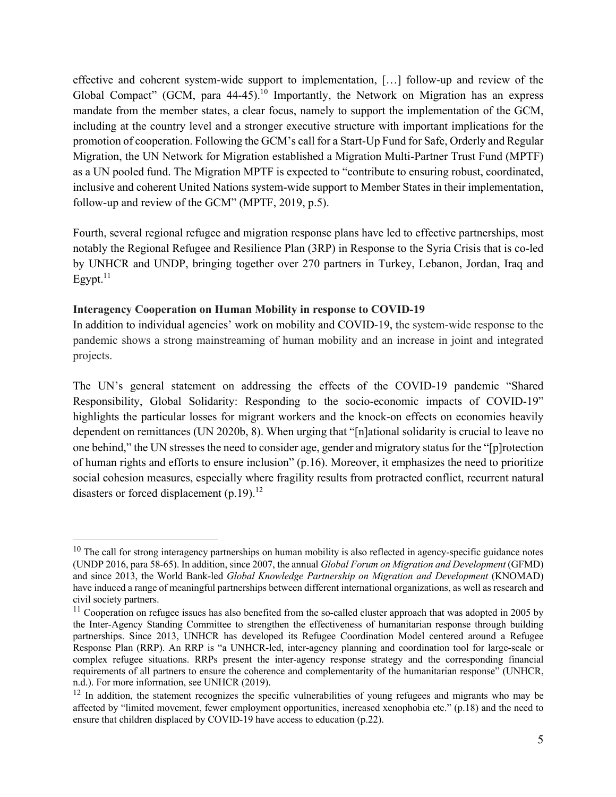effective and coherent system-wide support to implementation, […] follow-up and review of the Global Compact" (GCM, para  $44-45$ ).<sup>10</sup> Importantly, the Network on Migration has an express mandate from the member states, a clear focus, namely to support the implementation of the GCM, including at the country level and a stronger executive structure with important implications for the promotion of cooperation. Following the GCM's call for a Start-Up Fund for Safe, Orderly and Regular Migration, the UN Network for Migration established a Migration Multi-Partner Trust Fund (MPTF) as a UN pooled fund. The Migration MPTF is expected to "contribute to ensuring robust, coordinated, inclusive and coherent United Nations system-wide support to Member States in their implementation, follow-up and review of the GCM" (MPTF, 2019, p.5).

Fourth, several regional refugee and migration response plans have led to effective partnerships, most notably the Regional Refugee and Resilience Plan (3RP) in Response to the Syria Crisis that is co-led by UNHCR and UNDP, bringing together over 270 partners in Turkey, Lebanon, Jordan, Iraq and Egypt. $^{11}$ 

## **Interagency Cooperation on Human Mobility in response to COVID-19**

In addition to individual agencies' work on mobility and COVID-19, the system-wide response to the pandemic shows a strong mainstreaming of human mobility and an increase in joint and integrated projects.

The UN's general statement on addressing the effects of the COVID-19 pandemic "Shared Responsibility, Global Solidarity: Responding to the socio-economic impacts of COVID-19" highlights the particular losses for migrant workers and the knock-on effects on economies heavily dependent on remittances (UN 2020b, 8). When urging that "[n]ational solidarity is crucial to leave no one behind," the UN stresses the need to consider age, gender and migratory status for the "[p]rotection of human rights and efforts to ensure inclusion" (p.16). Moreover, it emphasizes the need to prioritize social cohesion measures, especially where fragility results from protracted conflict, recurrent natural disasters or forced displacement  $(p.19)^{12}$ 

 $10$  The call for strong interagency partnerships on human mobility is also reflected in agency-specific guidance notes (UNDP 2016, para 58-65). In addition, since 2007, the annual *Global Forum on Migration and Development* (GFMD) and since 2013, the World Bank-led *Global Knowledge Partnership on Migration and Development* (KNOMAD) have induced a range of meaningful partnerships between different international organizations, as well as research and civil society partners.

 $11$  Cooperation on refugee issues has also benefited from the so-called cluster approach that was adopted in 2005 by the Inter-Agency Standing Committee to strengthen the effectiveness of humanitarian response through building partnerships. Since 2013, UNHCR has developed its Refugee Coordination Model centered around a Refugee Response Plan (RRP). An RRP is "a UNHCR-led, inter-agency planning and coordination tool for large-scale or complex refugee situations. RRPs present the inter-agency response strategy and the corresponding financial requirements of all partners to ensure the coherence and complementarity of the humanitarian response" (UNHCR, n.d.). For more information, see UNHCR (2019).

 $12$  In addition, the statement recognizes the specific vulnerabilities of young refugees and migrants who may be affected by "limited movement, fewer employment opportunities, increased xenophobia etc." (p.18) and the need to ensure that children displaced by COVID-19 have access to education (p.22).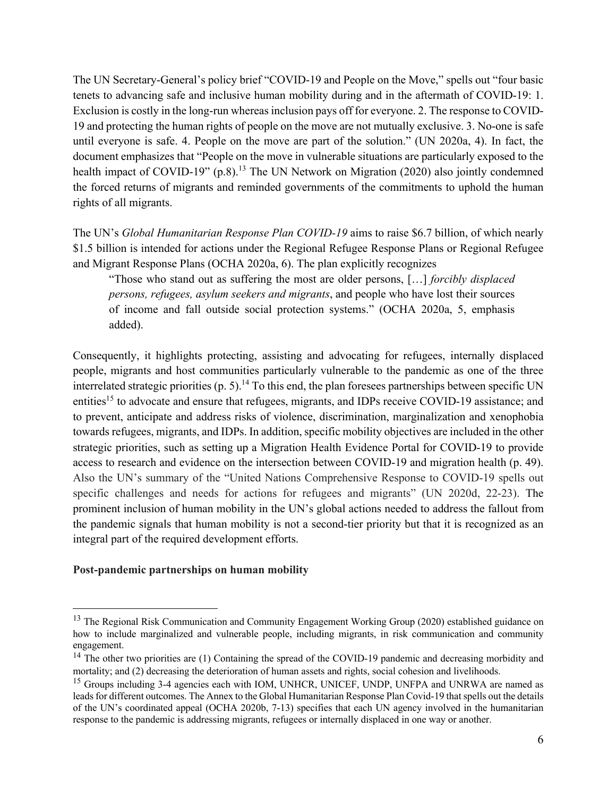The UN Secretary-General's policy brief "COVID-19 and People on the Move," spells out "four basic tenets to advancing safe and inclusive human mobility during and in the aftermath of COVID-19: 1. Exclusion is costly in the long-run whereas inclusion pays off for everyone. 2. The response to COVID-19 and protecting the human rights of people on the move are not mutually exclusive. 3. No-one is safe until everyone is safe. 4. People on the move are part of the solution." (UN 2020a, 4). In fact, the document emphasizes that "People on the move in vulnerable situations are particularly exposed to the health impact of COVID-19"  $(p.8)$ .<sup>13</sup> The UN Network on Migration (2020) also jointly condemned the forced returns of migrants and reminded governments of the commitments to uphold the human rights of all migrants.

The UN's *Global Humanitarian Response Plan COVID-19* aims to raise \$6.7 billion, of which nearly \$1.5 billion is intended for actions under the Regional Refugee Response Plans or Regional Refugee and Migrant Response Plans (OCHA 2020a, 6). The plan explicitly recognizes

"Those who stand out as suffering the most are older persons, […] *forcibly displaced persons, refugees, asylum seekers and migrants*, and people who have lost their sources of income and fall outside social protection systems." (OCHA 2020a, 5, emphasis added).

Consequently, it highlights protecting, assisting and advocating for refugees, internally displaced people, migrants and host communities particularly vulnerable to the pandemic as one of the three interrelated strategic priorities (p. 5).<sup>14</sup> To this end, the plan foresees partnerships between specific UN entities<sup>15</sup> to advocate and ensure that refugees, migrants, and IDPs receive COVID-19 assistance; and to prevent, anticipate and address risks of violence, discrimination, marginalization and xenophobia towards refugees, migrants, and IDPs. In addition, specific mobility objectives are included in the other strategic priorities, such as setting up a Migration Health Evidence Portal for COVID-19 to provide access to research and evidence on the intersection between COVID-19 and migration health (p. 49). Also the UN's summary of the "United Nations Comprehensive Response to COVID-19 spells out specific challenges and needs for actions for refugees and migrants" (UN 2020d, 22-23). The prominent inclusion of human mobility in the UN's global actions needed to address the fallout from the pandemic signals that human mobility is not a second-tier priority but that it is recognized as an integral part of the required development efforts.

# **Post-pandemic partnerships on human mobility**

<sup>&</sup>lt;sup>13</sup> The Regional Risk Communication and Community Engagement Working Group (2020) established guidance on how to include marginalized and vulnerable people, including migrants, in risk communication and community engagement.

<sup>&</sup>lt;sup>14</sup> The other two priorities are (1) Containing the spread of the COVID-19 pandemic and decreasing morbidity and mortality; and (2) decreasing the deterioration of human assets and rights, social cohesion and livelihoods.

<sup>&</sup>lt;sup>15</sup> Groups including 3-4 agencies each with IOM, UNHCR, UNICEF, UNDP, UNFPA and UNRWA are named as leads for different outcomes. The Annex to the Global Humanitarian Response Plan Covid-19 that spells out the details of the UN's coordinated appeal (OCHA 2020b, 7-13) specifies that each UN agency involved in the humanitarian response to the pandemic is addressing migrants, refugees or internally displaced in one way or another.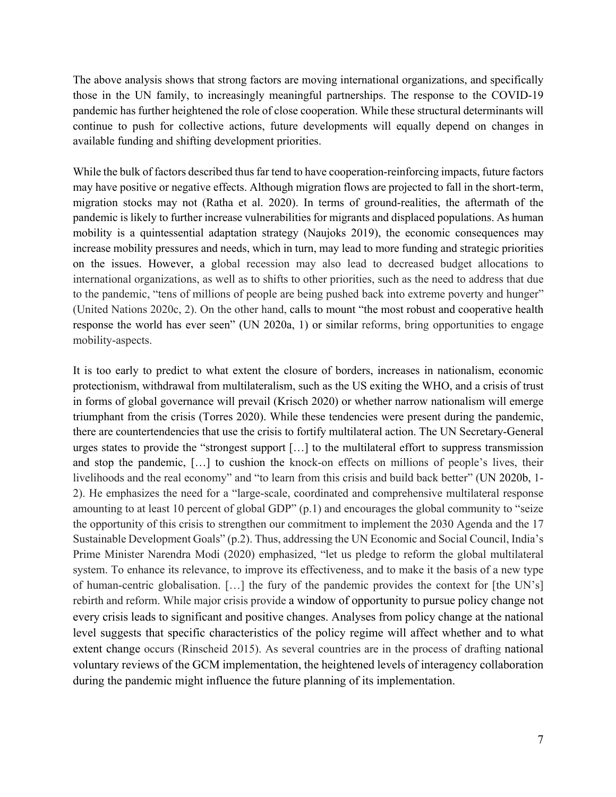The above analysis shows that strong factors are moving international organizations, and specifically those in the UN family, to increasingly meaningful partnerships. The response to the COVID-19 pandemic has further heightened the role of close cooperation. While these structural determinants will continue to push for collective actions, future developments will equally depend on changes in available funding and shifting development priorities.

While the bulk of factors described thus far tend to have cooperation-reinforcing impacts, future factors may have positive or negative effects. Although migration flows are projected to fall in the short-term, migration stocks may not (Ratha et al. 2020). In terms of ground-realities, the aftermath of the pandemic is likely to further increase vulnerabilities for migrants and displaced populations. As human mobility is a quintessential adaptation strategy (Naujoks 2019), the economic consequences may increase mobility pressures and needs, which in turn, may lead to more funding and strategic priorities on the issues. However, a global recession may also lead to decreased budget allocations to international organizations, as well as to shifts to other priorities, such as the need to address that due to the pandemic, "tens of millions of people are being pushed back into extreme poverty and hunger" (United Nations 2020c, 2). On the other hand, calls to mount "the most robust and cooperative health response the world has ever seen" (UN 2020a, 1) or similar reforms, bring opportunities to engage mobility-aspects.

It is too early to predict to what extent the closure of borders, increases in nationalism, economic protectionism, withdrawal from multilateralism, such as the US exiting the WHO, and a crisis of trust in forms of global governance will prevail (Krisch 2020) or whether narrow nationalism will emerge triumphant from the crisis (Torres 2020). While these tendencies were present during the pandemic, there are countertendencies that use the crisis to fortify multilateral action. The UN Secretary-General urges states to provide the "strongest support […] to the multilateral effort to suppress transmission and stop the pandemic, […] to cushion the knock-on effects on millions of people's lives, their livelihoods and the real economy" and "to learn from this crisis and build back better" (UN 2020b, 1- 2). He emphasizes the need for a "large-scale, coordinated and comprehensive multilateral response amounting to at least 10 percent of global GDP" (p.1) and encourages the global community to "seize the opportunity of this crisis to strengthen our commitment to implement the 2030 Agenda and the 17 Sustainable Development Goals" (p.2). Thus, addressing the UN Economic and Social Council, India's Prime Minister Narendra Modi (2020) emphasized, "let us pledge to reform the global multilateral system. To enhance its relevance, to improve its effectiveness, and to make it the basis of a new type of human-centric globalisation. […] the fury of the pandemic provides the context for [the UN's] rebirth and reform. While major crisis provide a window of opportunity to pursue policy change not every crisis leads to significant and positive changes. Analyses from policy change at the national level suggests that specific characteristics of the policy regime will affect whether and to what extent change occurs (Rinscheid 2015). As several countries are in the process of drafting national voluntary reviews of the GCM implementation, the heightened levels of interagency collaboration during the pandemic might influence the future planning of its implementation.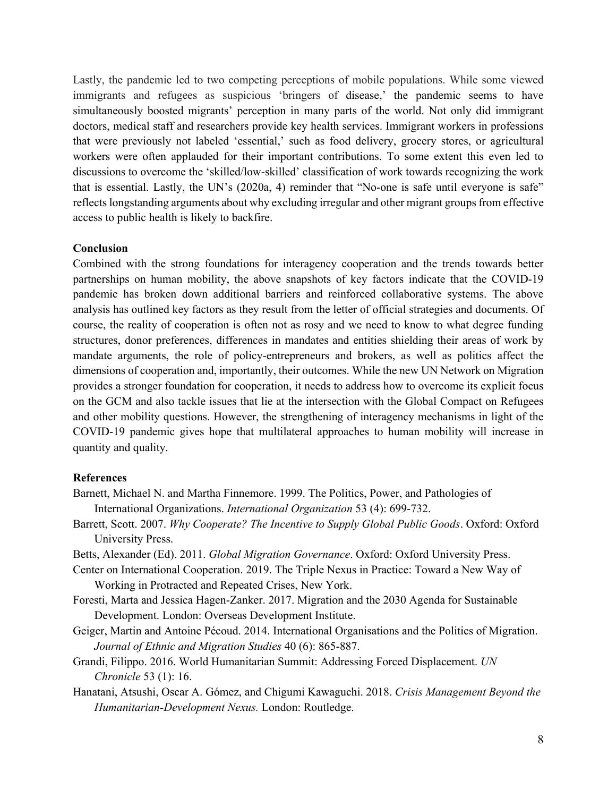Lastly, the pandemic led to two competing perceptions of mobile populations. While some viewed immigrants and refugees as suspicious 'bringers of disease,' the pandemic seems to have simultaneously boosted migrants' perception in many parts of the world. Not only did immigrant doctors, medical staff and researchers provide key health services. Immigrant workers in professions that were previously not labeled 'essential,' such as food delivery, grocery stores, or agricultural workers were often applauded for their important contributions. To some extent this even led to discussions to overcome the 'skilled/low-skilled' classification of work towards recognizing the work that is essential. Lastly, the UN's (2020a, 4) reminder that "No-one is safe until everyone is safe" reflects longstanding arguments about why excluding irregular and other migrant groups from effective access to public health is likely to backfire.

## **Conclusion**

Combined with the strong foundations for interagency cooperation and the trends towards better partnerships on human mobility, the above snapshots of key factors indicate that the COVID-19 pandemic has broken down additional barriers and reinforced collaborative systems. The above analysis has outlined key factors as they result from the letter of official strategies and documents. Of course, the reality of cooperation is often not as rosy and we need to know to what degree funding structures, donor preferences, differences in mandates and entities shielding their areas of work by mandate arguments, the role of policy-entrepreneurs and brokers, as well as politics affect the dimensions of cooperation and, importantly, their outcomes. While the new UN Network on Migration provides a stronger foundation for cooperation, it needs to address how to overcome its explicit focus on the GCM and also tackle issues that lie at the intersection with the Global Compact on Refugees and other mobility questions. However, the strengthening of interagency mechanisms in light of the COVID-19 pandemic gives hope that multilateral approaches to human mobility will increase in quantity and quality.

#### **References**

- Barnett, Michael N. and Martha Finnemore. 1999. The Politics, Power, and Pathologies of International Organizations. *International Organization* 53 (4): 699-732.
- Barrett, Scott. 2007. *Why Cooperate? The Incentive to Supply Global Public Goods*. Oxford: Oxford University Press.

Betts, Alexander (Ed). 2011. *Global Migration Governance*. Oxford: Oxford University Press.

- Center on International Cooperation. 2019. The Triple Nexus in Practice: Toward a New Way of Working in Protracted and Repeated Crises, New York.
- Foresti, Marta and Jessica Hagen-Zanker. 2017. Migration and the 2030 Agenda for Sustainable Development. London: Overseas Development Institute.
- Geiger, Martin and Antoine Pécoud. 2014. International Organisations and the Politics of Migration. *Journal of Ethnic and Migration Studies* 40 (6): 865-887.
- Grandi, Filippo. 2016. World Humanitarian Summit: Addressing Forced Displacement. *UN Chronicle* 53 (1): 16.
- Hanatani, Atsushi, Oscar A. Gómez, and Chigumi Kawaguchi. 2018. *Crisis Management Beyond the Humanitarian-Development Nexus.* London: Routledge.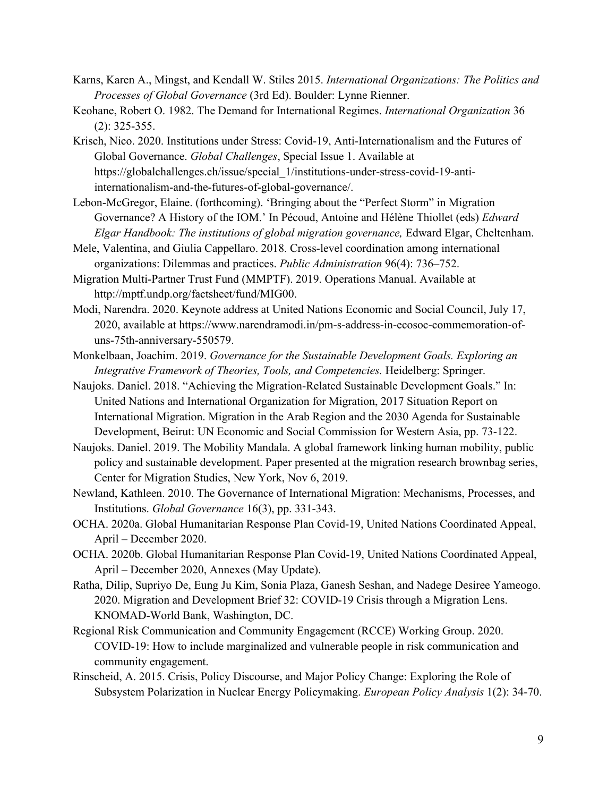- Karns, Karen A., Mingst, and Kendall W. Stiles 2015. *International Organizations: The Politics and Processes of Global Governance* (3rd Ed). Boulder: Lynne Rienner.
- Keohane, Robert O. 1982. The Demand for International Regimes. *International Organization* 36 (2): 325-355.
- Krisch, Nico. 2020. Institutions under Stress: Covid-19, Anti-Internationalism and the Futures of Global Governance. *Global Challenges*, Special Issue 1. Available at https://globalchallenges.ch/issue/special\_1/institutions-under-stress-covid-19-antiinternationalism-and-the-futures-of-global-governance/.
- Lebon-McGregor, Elaine. (forthcoming). 'Bringing about the "Perfect Storm" in Migration Governance? A History of the IOM.' In Pécoud, Antoine and Hélène Thiollet (eds) *Edward Elgar Handbook: The institutions of global migration governance,* Edward Elgar, Cheltenham.
- Mele, Valentina, and Giulia Cappellaro. 2018. Cross-level coordination among international organizations: Dilemmas and practices. *Public Administration* 96(4): 736–752.
- Migration Multi-Partner Trust Fund (MMPTF). 2019. Operations Manual. Available at http://mptf.undp.org/factsheet/fund/MIG00.
- Modi, Narendra. 2020. Keynote address at United Nations Economic and Social Council, July 17, 2020, available at https://www.narendramodi.in/pm-s-address-in-ecosoc-commemoration-ofuns-75th-anniversary-550579.
- Monkelbaan, Joachim. 2019. *Governance for the Sustainable Development Goals. Exploring an Integrative Framework of Theories, Tools, and Competencies.* Heidelberg: Springer.
- Naujoks. Daniel. 2018. "Achieving the Migration-Related Sustainable Development Goals." In: United Nations and International Organization for Migration, 2017 Situation Report on International Migration. Migration in the Arab Region and the 2030 Agenda for Sustainable Development, Beirut: UN Economic and Social Commission for Western Asia, pp. 73-122.
- Naujoks. Daniel. 2019. The Mobility Mandala. A global framework linking human mobility, public policy and sustainable development. Paper presented at the migration research brownbag series, Center for Migration Studies, New York, Nov 6, 2019.
- Newland, Kathleen. 2010. The Governance of International Migration: Mechanisms, Processes, and Institutions. *Global Governance* 16(3), pp. 331-343.
- OCHA. 2020a. Global Humanitarian Response Plan Covid-19, United Nations Coordinated Appeal, April – December 2020.
- OCHA. 2020b. Global Humanitarian Response Plan Covid-19, United Nations Coordinated Appeal, April – December 2020, Annexes (May Update).
- Ratha, Dilip, Supriyo De, Eung Ju Kim, Sonia Plaza, Ganesh Seshan, and Nadege Desiree Yameogo. 2020. Migration and Development Brief 32: COVID-19 Crisis through a Migration Lens. KNOMAD-World Bank, Washington, DC.
- Regional Risk Communication and Community Engagement (RCCE) Working Group. 2020. COVID-19: How to include marginalized and vulnerable people in risk communication and community engagement.
- Rinscheid, A. 2015. Crisis, Policy Discourse, and Major Policy Change: Exploring the Role of Subsystem Polarization in Nuclear Energy Policymaking. *European Policy Analysis* 1(2): 34-70.